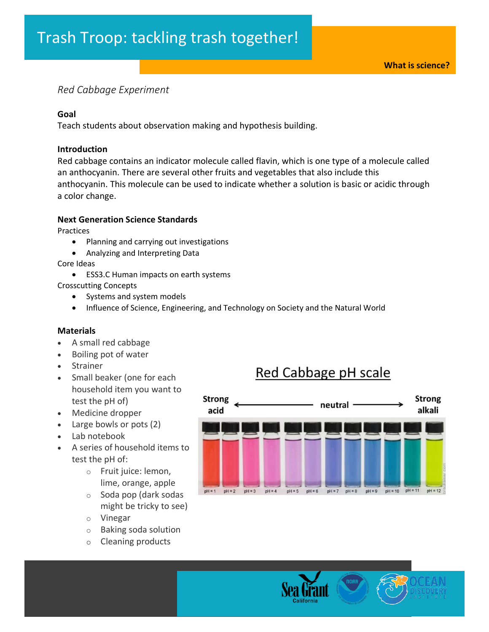## *Red Cabbage Experiment*

#### **Goal**

Teach students about observation making and hypothesis building.

#### **Introduction**

Red cabbage contains an indicator molecule called flavin, which is one type of a molecule called an anthocyanin. There are several other fruits and vegetables that also include this anthocyanin. This molecule can be used to indicate whether a solution is basic or acidic through a color change.

#### **Next Generation Science Standards**

Practices

- Planning and carrying out investigations
- Analyzing and Interpreting Data

Core Ideas

• ESS3.C Human impacts on earth systems

Crosscutting Concepts

- Systems and system models
- Influence of Science, Engineering, and Technology on Society and the Natural World

#### **Materials**

- A small red cabbage
- Boiling pot of water
- Strainer
- Small beaker (one for each household item you want to test the pH of)
- Medicine dropper
- Large bowls or pots (2)
- Lab notebook
- A series of household items to test the pH of:
	- o Fruit juice: lemon, lime, orange, apple
	- o Soda pop (dark sodas might be tricky to see)
	- o Vinegar
	- o Baking soda solution
	- o Cleaning products

# Red Cabbage pH scale